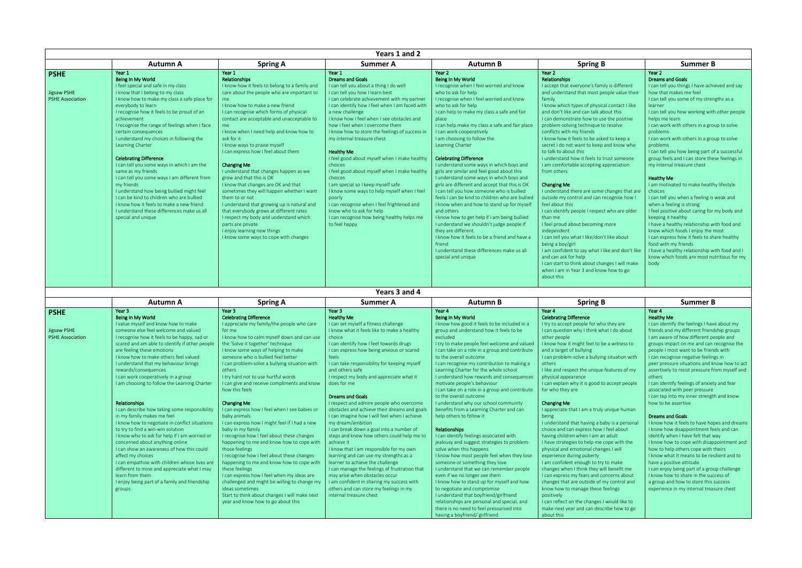| Years 1 and 2                                         |                                                                                                                                                                                                                                                                                                                                                                                                                                                                                                                                                                                                                                                                                                                                                                 |                                                                                                                                                                                                                                                                                                                                                                                                                                                                                                                                                                                                                                                                                                                                                                                                                                    |                                                                                                                                                                                                                                                                                                                                                                                                                                                                                                                                                                                                                                                                                                                                                                                        |                                                                                                                                                                                                                                                                                                                                                                                                                                                                                                                                                                                                                                                                                                                                                                                                                                                                                                                                                                                                    |                                                                                                                                                                                                                                                                                                                                                                                                                                                                                                                                                                                                                                                                                                                                                                                                                                                                                                                                                                                                                                 |                                                                                                                                                                                                                                                                                                                                                                                                                                                                                                                                                                                                                                                                                                                                                                                                                |
|-------------------------------------------------------|-----------------------------------------------------------------------------------------------------------------------------------------------------------------------------------------------------------------------------------------------------------------------------------------------------------------------------------------------------------------------------------------------------------------------------------------------------------------------------------------------------------------------------------------------------------------------------------------------------------------------------------------------------------------------------------------------------------------------------------------------------------------|------------------------------------------------------------------------------------------------------------------------------------------------------------------------------------------------------------------------------------------------------------------------------------------------------------------------------------------------------------------------------------------------------------------------------------------------------------------------------------------------------------------------------------------------------------------------------------------------------------------------------------------------------------------------------------------------------------------------------------------------------------------------------------------------------------------------------------|----------------------------------------------------------------------------------------------------------------------------------------------------------------------------------------------------------------------------------------------------------------------------------------------------------------------------------------------------------------------------------------------------------------------------------------------------------------------------------------------------------------------------------------------------------------------------------------------------------------------------------------------------------------------------------------------------------------------------------------------------------------------------------------|----------------------------------------------------------------------------------------------------------------------------------------------------------------------------------------------------------------------------------------------------------------------------------------------------------------------------------------------------------------------------------------------------------------------------------------------------------------------------------------------------------------------------------------------------------------------------------------------------------------------------------------------------------------------------------------------------------------------------------------------------------------------------------------------------------------------------------------------------------------------------------------------------------------------------------------------------------------------------------------------------|---------------------------------------------------------------------------------------------------------------------------------------------------------------------------------------------------------------------------------------------------------------------------------------------------------------------------------------------------------------------------------------------------------------------------------------------------------------------------------------------------------------------------------------------------------------------------------------------------------------------------------------------------------------------------------------------------------------------------------------------------------------------------------------------------------------------------------------------------------------------------------------------------------------------------------------------------------------------------------------------------------------------------------|----------------------------------------------------------------------------------------------------------------------------------------------------------------------------------------------------------------------------------------------------------------------------------------------------------------------------------------------------------------------------------------------------------------------------------------------------------------------------------------------------------------------------------------------------------------------------------------------------------------------------------------------------------------------------------------------------------------------------------------------------------------------------------------------------------------|
|                                                       | <b>Autumn A</b>                                                                                                                                                                                                                                                                                                                                                                                                                                                                                                                                                                                                                                                                                                                                                 | <b>Spring A</b>                                                                                                                                                                                                                                                                                                                                                                                                                                                                                                                                                                                                                                                                                                                                                                                                                    | Summer A                                                                                                                                                                                                                                                                                                                                                                                                                                                                                                                                                                                                                                                                                                                                                                               | <b>Autumn B</b>                                                                                                                                                                                                                                                                                                                                                                                                                                                                                                                                                                                                                                                                                                                                                                                                                                                                                                                                                                                    | <b>Spring B</b>                                                                                                                                                                                                                                                                                                                                                                                                                                                                                                                                                                                                                                                                                                                                                                                                                                                                                                                                                                                                                 | Summer B                                                                                                                                                                                                                                                                                                                                                                                                                                                                                                                                                                                                                                                                                                                                                                                                       |
| <b>PSHE</b><br>Jigsaw PSHE<br><b>PSHE Association</b> | Year 1<br>Being In My World<br>I feel special and safe in my class<br>I know that I belong to my class<br>I know how to make my class a safe place for<br>everybody to learn<br>I recognise how it feels to be proud of an<br>achievement<br>I recognise the range of feelings when I face<br>certain consequences<br>I understand my choices in following the<br>Learning Charter<br><b>Celebrating Difference</b><br>I can tell you some ways in which I am the<br>same as my friends<br>I can tell you some ways I am different from<br>my friends<br>I understand how being bullied might feel<br>I can be kind to children who are bullied<br>I know how it feels to make a new friend<br>I understand these differences make us all<br>special and unique | Year 1<br>Relationships<br>I know how it feels to belong to a family and<br>care about the people who are important to<br>me.<br>I know how to make a new friend<br>I can recognise which forms of physical<br>contact are acceptable and unacceptable to<br>me<br>I know when I need help and know how to<br>ask for it<br>I know ways to praise myself<br>I can express how I feel about them<br><b>Changing Me</b><br>I understand that changes happen as we<br>grow and that this is OK<br>I know that changes are OK and that<br>sometimes they will happen whether I want<br>them to or not<br>I understand that growing up is natural and<br>that everybody grows at different rates<br>I respect my body and understand which<br>parts are private<br>I enjoy learning new things<br>I know some ways to cope with changes | Year 1<br><b>Dreams and Goals</b><br>I can tell you about a thing I do well<br>I can tell you how I learn best<br>I can celebrate achievement with my partner<br>I can identify how I feel when I am faced with<br>a new challenge<br>I know how I feel when I see obstacles and<br>how I feel when I overcome them<br>I know how to store the feelings of success in<br>my internal treasure chest<br><b>Healthy Me</b><br>I feel good about myself when I make healthy<br>choices<br>I feel good about myself when I make healthy<br>choices<br>I am special so I keep myself safe<br>I know some ways to help myself when I feel<br>poorly<br>I can recognise when I feel frightened and<br>know who to ask for help<br>I can recognise how being healthy helps me<br>to feel happy | Year 2<br>Being In My World<br>I recognise when I feel worried and know<br>who to ask for help<br>I recognise when I feel worried and know<br>who to ask for help<br>I can help to make my class a safe and fair<br>place<br>I can help make my class a safe and fair place<br>I can work cooperatively<br>I am choosing to follow the<br>Learning Charter<br><b>Celebrating Difference</b><br>I understand some ways in which boys and<br>girls are similar and feel good about this<br>I understand some ways in which boys and<br>girls are different and accept that this is OK<br>I can tell you how someone who is bullied<br>feels I can be kind to children who are bullied<br>I know when and how to stand up for myself<br>and others<br>I know how to get help if I am being bullied<br>I understand we shouldn't judge people if<br>they are different.<br>I know how it feels to be a friend and have a<br>friend<br>I understand these differences make us all<br>special and unique | Year 2<br>Relationships<br>I accept that everyone's family is different<br>and understand that most people value their<br>family<br>I know which types of physical contact I like<br>and don't like and can talk about this<br>I can demonstrate how to use the positive<br>problem-solving technique to resolve<br>conflicts with my friends<br>I know how it feels to be asked to keep a<br>secret I do not want to keep and know who<br>to talk to about this<br>I understand how it feels to trust someone<br>I am comfortable accepting appreciation<br>from others<br><b>Changing Me</b><br>I understand there are some changes that are<br>outside my control and can recognise how I<br>feel about this<br>I can identify people I respect who are older<br>than me<br>I feel proud about becoming more<br>independent<br>I can tell you what I like/don't like about<br>being a boy/girl<br>I am confident to say what I like and don't like<br>and can ask for help<br>I can start to think about changes I will make | Year 2<br><b>Dreams and Goals</b><br>I can tell you things I have achi<br>how that makes me feel<br>I can tell you some of my stren<br>learner<br>I can tell you how working with<br>helps me learn<br>I can work with others in a gro<br>problems<br>I can work with others in a grot<br>problems<br>I can tell you how being part of<br>group feels and I can store the<br>my internal treasure chest<br><b>Healthy Me</b><br>I am motivated to make health<br>choices<br>I can tell you when a feeling is<br>when a feeling is strong<br>I feel positive about caring for<br>keeping it healthy<br>I have a healthy relationship w<br>know which foods I enjoy the r<br>I can express how it feels to sh<br>food with my friends<br>I have a healthy relationship w<br>know which foods are most nu<br>body |
|                                                       |                                                                                                                                                                                                                                                                                                                                                                                                                                                                                                                                                                                                                                                                                                                                                                 |                                                                                                                                                                                                                                                                                                                                                                                                                                                                                                                                                                                                                                                                                                                                                                                                                                    |                                                                                                                                                                                                                                                                                                                                                                                                                                                                                                                                                                                                                                                                                                                                                                                        |                                                                                                                                                                                                                                                                                                                                                                                                                                                                                                                                                                                                                                                                                                                                                                                                                                                                                                                                                                                                    | when I am in Year 3 and know how to go<br>about this                                                                                                                                                                                                                                                                                                                                                                                                                                                                                                                                                                                                                                                                                                                                                                                                                                                                                                                                                                            |                                                                                                                                                                                                                                                                                                                                                                                                                                                                                                                                                                                                                                                                                                                                                                                                                |

|                            | Summer B                                                                                     |
|----------------------------|----------------------------------------------------------------------------------------------|
|                            | Year <sub>2</sub>                                                                            |
|                            | <b>Dreams and Goals</b>                                                                      |
| y is different             | I can tell you things I have achieved and say                                                |
| ople value their           | how that makes me feel                                                                       |
|                            | I can tell you some of my strengths as a                                                     |
| contact Hike               | learner                                                                                      |
| out this                   | I can tell you how working with other people                                                 |
| the positive               | helps me learn                                                                               |
| resolve                    | I can work with others in a group to solve                                                   |
|                            | problems                                                                                     |
| d to keep a<br>nd know who | I can work with others in a group to solve                                                   |
|                            | problems<br>I can tell you how being part of a successful                                    |
| ust someone                | group feels and I can store these feelings in                                                |
| opreciation                | my internal treasure chest                                                                   |
|                            |                                                                                              |
|                            | <b>Healthy Me</b>                                                                            |
|                            | I am motivated to make healthy lifestyle                                                     |
| hanges that are:           | choices                                                                                      |
| cognise how I              | I can tell you when a feeling is weak and                                                    |
|                            | when a feeling is strong                                                                     |
| who are older              | I feel positive about caring for my body and                                                 |
|                            | keeping it healthy                                                                           |
| nore                       | I have a healthy relationship with food and                                                  |
|                            | know which foods I enjoy the most                                                            |
| like about                 | I can express how it feels to share healthy                                                  |
| ke and don't like          | food with my friends                                                                         |
|                            | I have a healthy relationship with food and I<br>know which foods are most nutritious for my |
| ges I will make            | body                                                                                         |
| how to go                  |                                                                                              |
|                            |                                                                                              |

|                         | <b>Autumn A</b>                                | <b>Spring A</b>                               | <b>Summer A</b>                               | <b>Autumn B</b>                                | <b>Spring B</b>                               | Summer B                                       |
|-------------------------|------------------------------------------------|-----------------------------------------------|-----------------------------------------------|------------------------------------------------|-----------------------------------------------|------------------------------------------------|
| <b>PSHE</b>             | Year <sub>3</sub>                              | Year <sub>3</sub>                             | Year 3                                        | Year 4                                         | Year 4                                        | Year 4                                         |
|                         | Being In My World                              | <b>Celebrating Difference</b>                 | <b>Healthy Me</b>                             | Being In My World                              | <b>Celebrating Difference</b>                 | <b>Healthy Me</b>                              |
|                         | I value myself and know how to make            | I appreciate my family/the people who care    | I can set myself a fitness challenge          | I know how good it feels to be included in a   | I try to accept people for who they are       | I can identify the feelings I have about my    |
| Jigsaw PSHE             | someone else feel welcome and valued           | for me                                        | I know what it feels like to make a healthy   | group and understand how it feels to be        | I can question why I think what I do about    | friends and my different friendship groups     |
| <b>PSHE Association</b> | I recognise how it feels to be happy, sad or   | I know how to calm myself down and can use    | choice                                        | excluded                                       | other people                                  | I am aware of how different people and         |
|                         | scared and am able to identify if other people | the 'Solve it together' technique             | I can identify how I feel towards drugs       | I try to make people feel welcome and valued   | I know how it might feel to be a witness to   | groups impact on me and can recognise the      |
|                         | are feeling these emotions                     | I know some ways of helping to make           | I can express how being anxious or scared     | I can take on a role in a group and contribute | and a target of bullying                      | people I most want to be friends with          |
|                         | I know how to make others feel valued          | someone who is bullied feel better            | feels                                         | to the overall outcome                         | I can problem-solve a bullying situation with | I can recognise negative feelings in           |
|                         | I understand that my behaviour brings          | I can problem-solve a bullying situation with | I can take responsibility for keeping myself  | I can recognise my contribution to making a    | others                                        | peer pressure situations and know how to act   |
|                         | rewards/consequences                           | others                                        | and others safe                               | Learning Charter for the whole school          | I like and respect the unique features of my  | assertively to resist pressure from myself and |
|                         | I can work cooperatively in a group            | I try hard not to use hurtful words           | I respect my body and appreciate what it      | I understand how rewards and consequences      | physical appearance                           | others                                         |
|                         | I am choosing to follow the Learning Charter   | I can give and receive compliments and know   | does for me                                   | motivate people's behaviour                    | I can explain why it is good to accept people | I can identify feelings of anxiety and fear    |
|                         |                                                | how this feels                                |                                               | I can take on a role in a group and contribute | for who they are                              | associated with peer pressure                  |
|                         |                                                |                                               | <b>Dreams and Goals</b>                       | to the overall outcome                         |                                               | I can tap into my inner strength and know      |
|                         | Relationships                                  | <b>Changing Me</b>                            | I respect and admire people who overcome      | I understand why our school community          | <b>Changing Me</b>                            | how to be assertive                            |
|                         | I can describe how taking some responsibility  | I can express how I feel when I see babies or | obstacles and achieve their dreams and goals  | benefits from a Learning Charter and can       | I appreciate that I am a truly unique human   |                                                |
|                         | in my family makes me feel                     | baby animals                                  | I can imagine how I will feel when I achieve  | help others to follow it                       | being                                         | <b>Dreams and Goals</b>                        |
|                         | I know how to negotiate in conflict situations | I can express how I might feel if I had a new | my dream/ambition                             |                                                | I understand that having a baby is a personal | I know how it feels to have hopes and dreams   |
|                         | to try to find a win-win solution              | baby in my family                             | I can break down a goal into a number of      | <b>Relationships</b>                           | choice and can express how I feel about       | I know how disappointment feels and can        |
|                         | I know who to ask for help if I am worried or  | I recognise how I feel about these changes    | steps and know how others could help me to    | I can identify feelings associated with        | having children when I am an adult            | identify when I have felt that way             |
|                         | concerned about anything online                | happening to me and know how to cope with     | achieve it                                    | jealousy and suggest strategies to problem-    | I have strategies to help me cope with the    | I know how to cope with disappointment and     |
|                         | I can show an awareness of how this could      | those feelings                                | I know that I am responsible for my own       | solve when this happens                        | physical and emotional changes I will         | how to help others cope with theirs            |
|                         | affect my choices                              | I recognise how I feel about these changes    | learning and can use my strengths as a        | I know how most people feel when they lose     | experience during puberty                     | I know what it means to be resilient and to    |
|                         | I can empathise with children whose lives are  | happening to me and know how to cope with     | learner to achieve the challenge              | someone or something they love                 | I am confident enough to try to make          | have a positive attitude                       |
|                         | different to mine and appreciate what I may    | these feelings                                | I can manage the feelings of frustration that | I understand that we can remember people       | changes when I think they will benefit me     | I can enjoy being part of a group challenge    |
|                         | learn from them                                | I can express how I feel when my ideas are    | may arise when obstacles occur                | even if we no longer see them                  | I can express my fears and concerns about     | I know how to share in the success of          |
|                         | I enjoy being part of a family and friendship  | challenged and might be willing to change my  | I am confident in sharing my success with     | I know how to stand up for myself and how      | changes that are outside of my control and    | a group and how to store this success          |
|                         | groups                                         | ideas sometimes                               | others and can store my feelings in my        | to negotiate and compromise                    | know how to manage these feelings             | experience in my internal treasure chest       |
|                         |                                                | Start to think about changes I will make next | internal treasure chest                       | I understand that boyfriend/girlfriend         | positively                                    |                                                |
|                         |                                                | year and know how to go about this            |                                               | relationships are personal and special, and    | I can reflect on the changes I would like to  |                                                |
|                         |                                                |                                               |                                               | there is no need to feel pressurised into      | make next year and can describe how to go     |                                                |
|                         |                                                |                                               |                                               | having a boyfriend/ girlfriend                 | about this                                    |                                                |